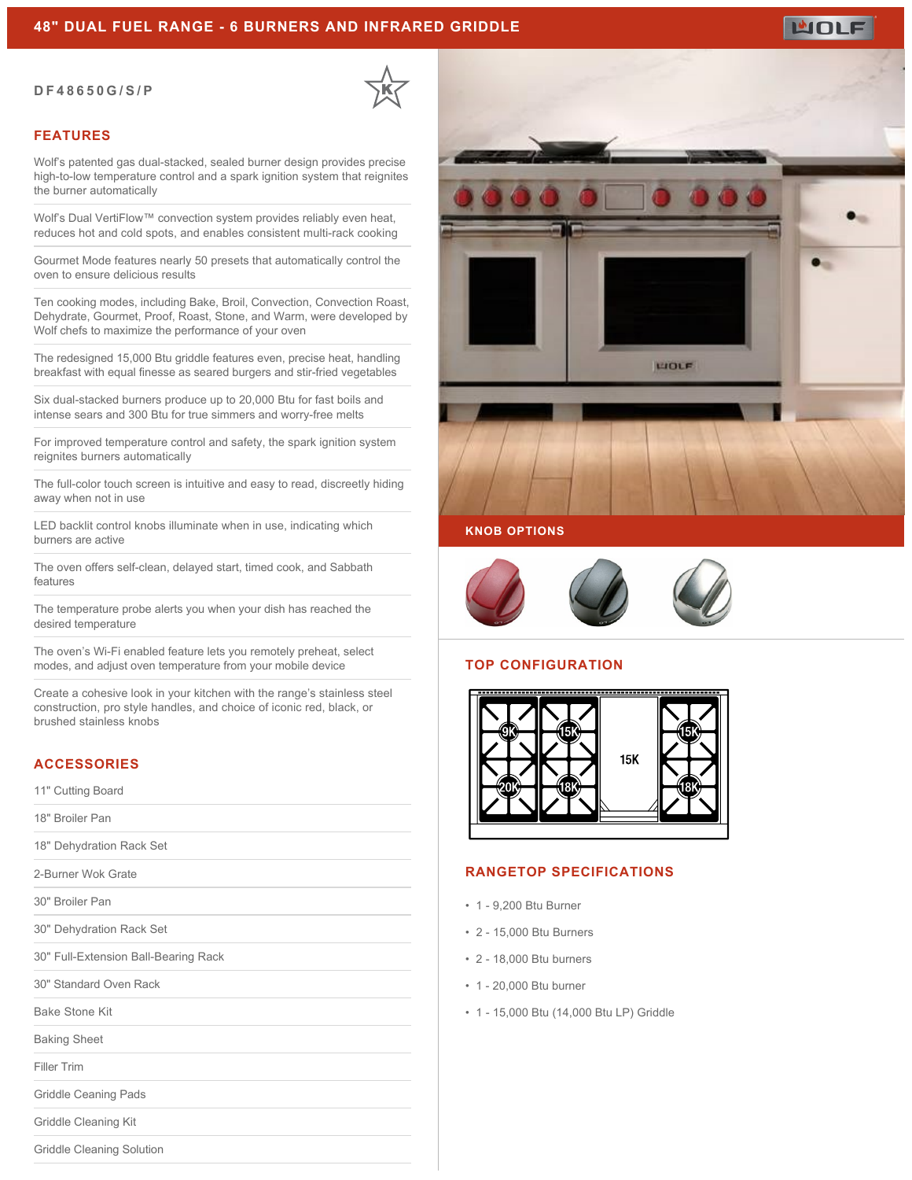## **48" DUAL FUEL RANGE - 6 BURNERS AND INFRARED GRIDDLE**

#### **DF48650G/S/P**



## **FEATURES**

Wolf's patented gas dual-stacked, sealed burner design provides precise high-to-low temperature control and a spark ignition system that reignites the burner automatically

Wolf's Dual VertiFlow™ convection system provides reliably even heat, reduces hot and cold spots, and enables consistent multi-rack cooking

Gourmet Mode features nearly 50 presets that automatically control the oven to ensure delicious results

Ten cooking modes, including Bake, Broil, Convection, Convection Roast, Dehydrate, Gourmet, Proof, Roast, Stone, and Warm, were developed by Wolf chefs to maximize the performance of your oven

The redesigned 15,000 Btu griddle features even, precise heat, handling breakfast with equal finesse as seared burgers and stir-fried vegetables

Six dual-stacked burners produce up to 20,000 Btu for fast boils and intense sears and 300 Btu for true simmers and worry-free melts

For improved temperature control and safety, the spark ignition system reignites burners automatically

The full-color touch screen is intuitive and easy to read, discreetly hiding away when not in use

LED backlit control knobs illuminate when in use, indicating which burners are active

The oven offers self-clean, delayed start, timed cook, and Sabbath features

The temperature probe alerts you when your dish has reached the desired temperature

The oven's Wi-Fi enabled feature lets you remotely preheat, select modes, and adjust oven temperature from your mobile device

Create a cohesive look in your kitchen with the range's stainless steel construction, pro style handles, and choice of iconic red, black, or brushed stainless knobs

# **ACCESSORIES**

11" Cutting Board

18" Broiler Pan

18" Dehydration Rack Set

2-Burner Wok Grate

30" Broiler Pan

30" Dehydration Rack Set

30" Full-Extension Ball-Bearing Rack

30" Standard Oven Rack

Bake Stone Kit

Baking Sheet

Filler Trim

Griddle Ceaning Pads

Griddle Cleaning Kit

Griddle Cleaning Solution



LIOLE

## **KNOB OPTIONS**



## **TOP CONFIGURATION**



### **RANGETOP SPECIFICATIONS**

- 1 9,200 Btu Burner
- 2 15,000 Btu Burners
- 2 18,000 Btu burners
- 1 20,000 Btu burner
- 1 15,000 Btu (14,000 Btu LP) Griddle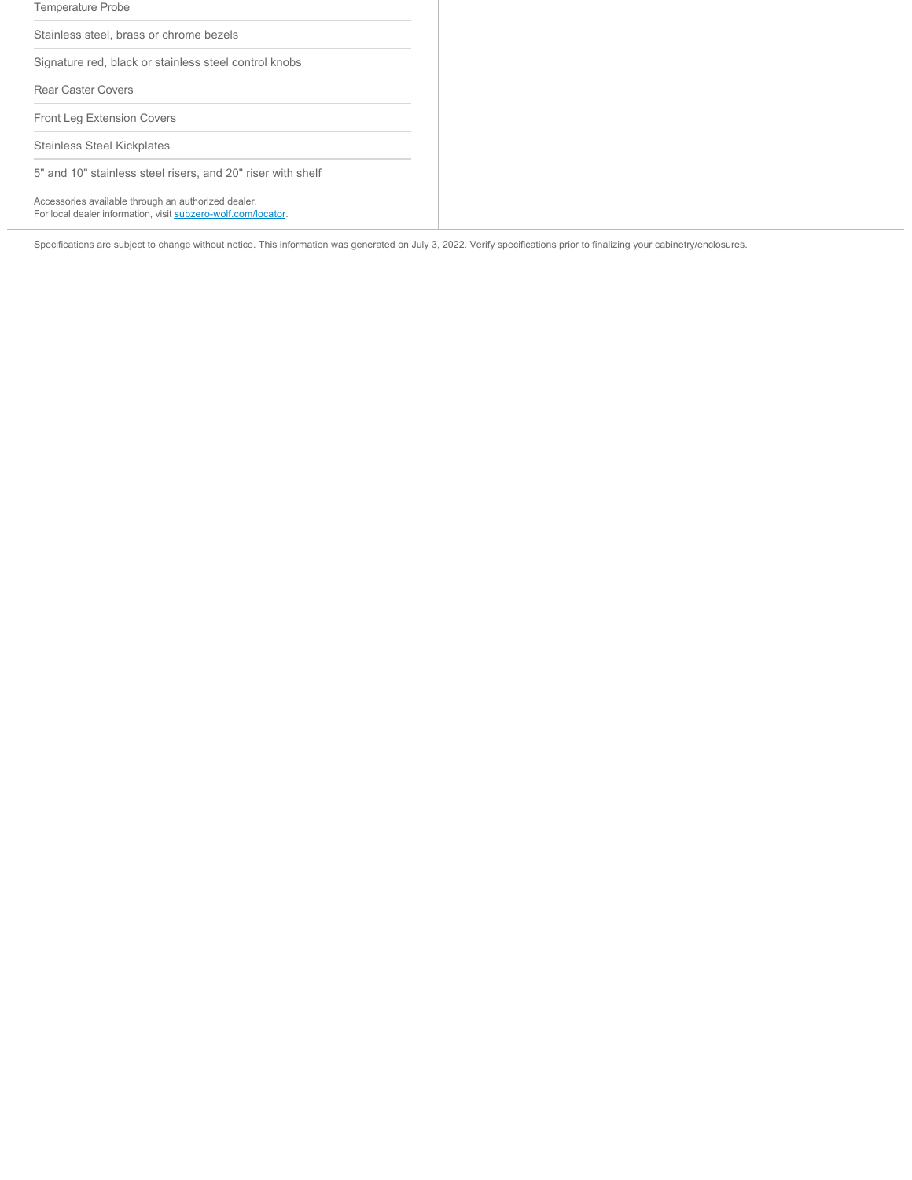| <b>Temperature Probe</b>                                                                                             |
|----------------------------------------------------------------------------------------------------------------------|
| Stainless steel, brass or chrome bezels                                                                              |
| Signature red, black or stainless steel control knobs                                                                |
| <b>Rear Caster Covers</b>                                                                                            |
| Front Leg Extension Covers                                                                                           |
| Stainless Steel Kickplates                                                                                           |
| 5" and 10" stainless steel risers, and 20" riser with shelf                                                          |
| Accessories available through an authorized dealer.<br>For local dealer information, visit subzero-wolf.com/locator. |

Specifications are subject to change without notice. This information was generated on July 3, 2022. Verify specifications prior to finalizing your cabinetry/enclosures.